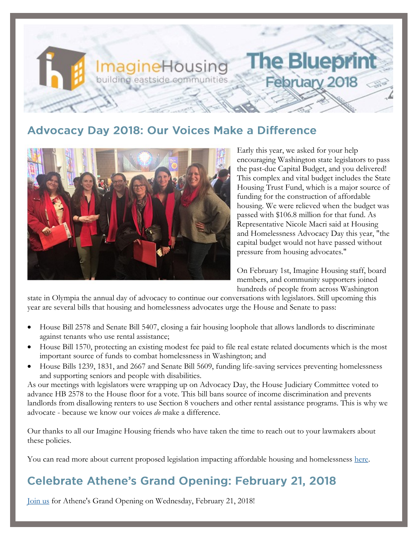# **The Blueprin ImagineHousing** building eastside communities February 2018

## **Advocacy Day 2018: Our Voices Make a Difference**



Early this year, we asked for your help encouraging Washington state legislators to pass the past-due Capital Budget, and you delivered! This complex and vital budget includes the State Housing Trust Fund, which is a major source of funding for the construction of affordable housing. We were relieved when the budget was passed with \$106.8 million for that fund. As Representative Nicole Macri said at Housing and Homelessness Advocacy Day this year, "the capital budget would not have passed without pressure from housing advocates."

On February 1st, Imagine Housing staff, board members, and community supporters joined hundreds of people from across Washington

state in Olympia the annual day of advocacy to continue our conversations with legislators. Still upcoming this year are several bills that housing and homelessness advocates urge the House and Senate to pass:

- House Bill 2578 and Senate Bill 5407, closing a fair housing loophole that allows landlords to discriminate against tenants who use rental assistance;
- House Bill 1570, protecting an existing modest fee paid to file real estate related documents which is the most important source of funds to combat homelessness in Washington; and
- House Bills 1239, 1831, and 2667 and Senate Bill 5609, funding life-saving services preventing homelessness and supporting seniors and people with disabilities.

As our meetings with legislators were wrapping up on Advocacy Day, the House Judiciary Committee voted to advance HB 2578 to the House floor for a vote. This bill bans source of income discrimination and prevents landlords from disallowing renters to use Section 8 vouchers and other rental assistance programs. This is why we advocate - because we know our voices *do* make a difference.

Our thanks to all our Imagine Housing friends who have taken the time to reach out to your lawmakers about these policies.

You can read more about current proposed legislation impacting affordable housing and homelessness [here.](http://wliha.org/sites/default/files/Lead%20Agenda%202018%20Final_0.pdf)

## **Celebrate Athene's Grand Opening: February 21, 2018**

[Join us](https://imaginehousing.org/athene-grand-opening/) for Athene's Grand Opening on Wednesday, February 21, 2018!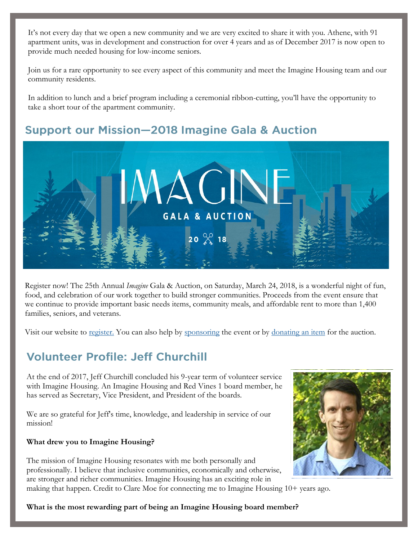It's not every day that we open a new community and we are very excited to share it with you. Athene, with 91 apartment units, was in development and construction for over 4 years and as of December 2017 is now open to provide much needed housing for low-income seniors.

Join us for a rare opportunity to see every aspect of this community and meet the Imagine Housing team and our community residents.

In addition to lunch and a brief program including a ceremonial ribbon-cutting, you'll have the opportunity to take a short tour of the apartment community.

#### **Support our Mission-2018 Imagine Gala & Auction**



Register now! The 25th Annual *Imagine* Gala & Auction, on Saturday, March 24, 2018, is a wonderful night of fun, food, and celebration of our work together to build stronger communities. Proceeds from the event ensure that we continue to provide important basic needs items, community meals, and affordable rent to more than 1,400 families, seniors, and veterans.

Visit our website to [register.](https://imaginehousing.ejoinme.org/MyEvents/2018ImagineAuction/RegistertoAttend/tabid/891599/Default.aspx) You can also help by [sponsoring](http://imaginehousing.org/wp-content/uploads/2018-Auction-Sponsorship-Form.pdf) the event or by [donating an item](https://imaginehousing.ejoinme.org/MyEvents/2018ImagineAuction/DonateanItem/tabid/891601/Default.aspx) for the auction.

### **Volunteer Profile: Jeff Churchill**

At the end of 2017, Jeff Churchill concluded his 9-year term of volunteer service with Imagine Housing. An Imagine Housing and Red Vines 1 board member, he has served as Secretary, Vice President, and President of the boards.

We are so grateful for Jeff's time, knowledge, and leadership in service of our mission!

#### **What drew you to Imagine Housing?**

The mission of Imagine Housing resonates with me both personally and professionally. I believe that inclusive communities, economically and otherwise, are stronger and richer communities. Imagine Housing has an exciting role in making that happen. Credit to Clare Moe for connecting me to Imagine Housing 10+ years ago.



**What is the most rewarding part of being an Imagine Housing board member?**